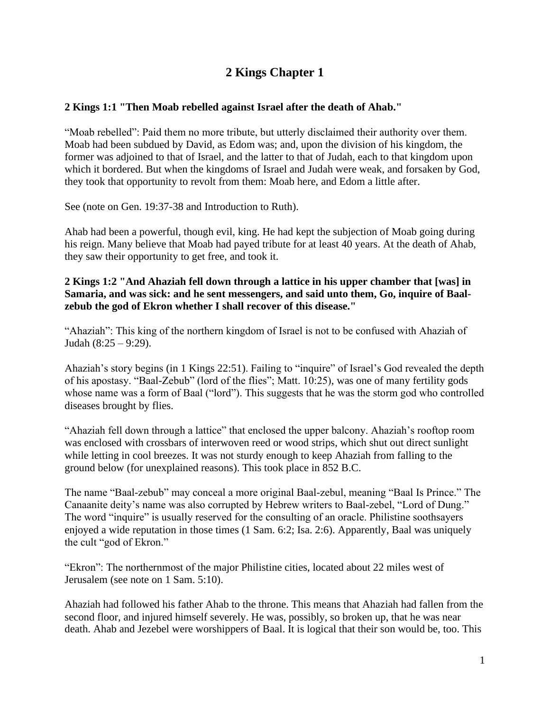# **2 Kings Chapter 1**

## **2 Kings 1:1 "Then Moab rebelled against Israel after the death of Ahab."**

"Moab rebelled": Paid them no more tribute, but utterly disclaimed their authority over them. Moab had been subdued by David, as Edom was; and, upon the division of his kingdom, the former was adjoined to that of Israel, and the latter to that of Judah, each to that kingdom upon which it bordered. But when the kingdoms of Israel and Judah were weak, and forsaken by God, they took that opportunity to revolt from them: Moab here, and Edom a little after.

See (note on Gen. 19:37-38 and Introduction to Ruth).

Ahab had been a powerful, though evil, king. He had kept the subjection of Moab going during his reign. Many believe that Moab had payed tribute for at least 40 years. At the death of Ahab, they saw their opportunity to get free, and took it.

#### **2 Kings 1:2 "And Ahaziah fell down through a lattice in his upper chamber that [was] in Samaria, and was sick: and he sent messengers, and said unto them, Go, inquire of Baalzebub the god of Ekron whether I shall recover of this disease."**

"Ahaziah": This king of the northern kingdom of Israel is not to be confused with Ahaziah of Judah (8:25 – 9:29).

Ahaziah's story begins (in 1 Kings 22:51). Failing to "inquire" of Israel's God revealed the depth of his apostasy. "Baal-Zebub" (lord of the flies"; Matt. 10:25), was one of many fertility gods whose name was a form of Baal ("lord"). This suggests that he was the storm god who controlled diseases brought by flies.

"Ahaziah fell down through a lattice" that enclosed the upper balcony. Ahaziah's rooftop room was enclosed with crossbars of interwoven reed or wood strips, which shut out direct sunlight while letting in cool breezes. It was not sturdy enough to keep Ahaziah from falling to the ground below (for unexplained reasons). This took place in 852 B.C.

The name "Baal-zebub" may conceal a more original Baal-zebul, meaning "Baal Is Prince." The Canaanite deity's name was also corrupted by Hebrew writers to Baal-zebel, "Lord of Dung." The word "inquire" is usually reserved for the consulting of an oracle. Philistine soothsayers enjoyed a wide reputation in those times (1 Sam. 6:2; Isa. 2:6). Apparently, Baal was uniquely the cult "god of Ekron."

"Ekron": The northernmost of the major Philistine cities, located about 22 miles west of Jerusalem (see note on 1 Sam. 5:10).

Ahaziah had followed his father Ahab to the throne. This means that Ahaziah had fallen from the second floor, and injured himself severely. He was, possibly, so broken up, that he was near death. Ahab and Jezebel were worshippers of Baal. It is logical that their son would be, too. This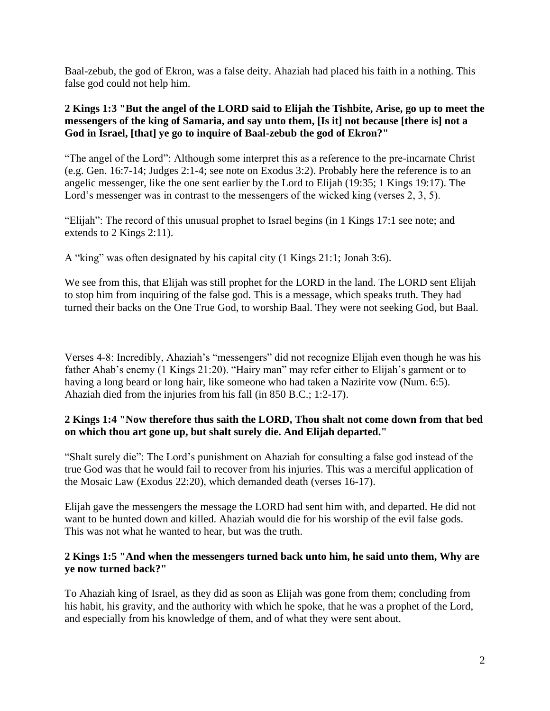Baal-zebub, the god of Ekron, was a false deity. Ahaziah had placed his faith in a nothing. This false god could not help him.

## **2 Kings 1:3 "But the angel of the LORD said to Elijah the Tishbite, Arise, go up to meet the messengers of the king of Samaria, and say unto them, [Is it] not because [there is] not a God in Israel, [that] ye go to inquire of Baal-zebub the god of Ekron?"**

"The angel of the Lord": Although some interpret this as a reference to the pre-incarnate Christ (e.g. Gen. 16:7-14; Judges 2:1-4; see note on Exodus 3:2). Probably here the reference is to an angelic messenger, like the one sent earlier by the Lord to Elijah (19:35; 1 Kings 19:17). The Lord's messenger was in contrast to the messengers of the wicked king (verses 2, 3, 5).

"Elijah": The record of this unusual prophet to Israel begins (in 1 Kings 17:1 see note; and extends to 2 Kings 2:11).

A "king" was often designated by his capital city (1 Kings 21:1; Jonah 3:6).

We see from this, that Elijah was still prophet for the LORD in the land. The LORD sent Elijah to stop him from inquiring of the false god. This is a message, which speaks truth. They had turned their backs on the One True God, to worship Baal. They were not seeking God, but Baal.

Verses 4-8: Incredibly, Ahaziah's "messengers" did not recognize Elijah even though he was his father Ahab's enemy (1 Kings 21:20). "Hairy man" may refer either to Elijah's garment or to having a long beard or long hair, like someone who had taken a Nazirite vow (Num. 6:5). Ahaziah died from the injuries from his fall (in 850 B.C.; 1:2-17).

## **2 Kings 1:4 "Now therefore thus saith the LORD, Thou shalt not come down from that bed on which thou art gone up, but shalt surely die. And Elijah departed."**

"Shalt surely die": The Lord's punishment on Ahaziah for consulting a false god instead of the true God was that he would fail to recover from his injuries. This was a merciful application of the Mosaic Law (Exodus 22:20), which demanded death (verses 16-17).

Elijah gave the messengers the message the LORD had sent him with, and departed. He did not want to be hunted down and killed. Ahaziah would die for his worship of the evil false gods. This was not what he wanted to hear, but was the truth.

## **2 Kings 1:5 "And when the messengers turned back unto him, he said unto them, Why are ye now turned back?"**

To Ahaziah king of Israel, as they did as soon as Elijah was gone from them; concluding from his habit, his gravity, and the authority with which he spoke, that he was a prophet of the Lord, and especially from his knowledge of them, and of what they were sent about.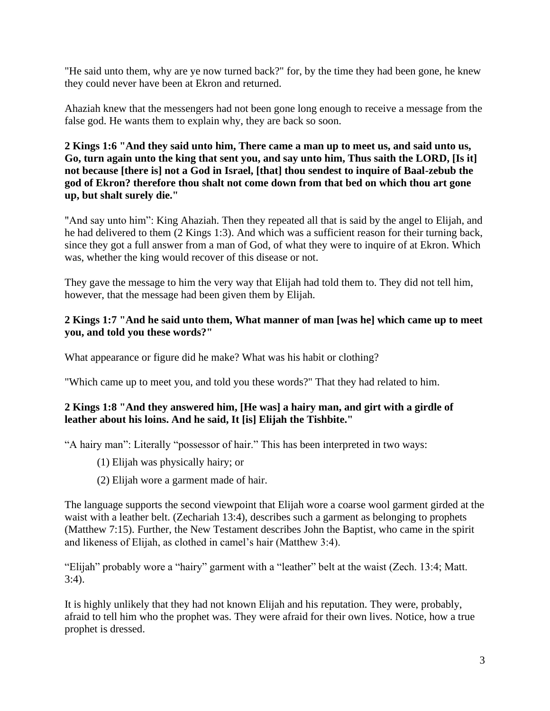"He said unto them, why are ye now turned back?" for, by the time they had been gone, he knew they could never have been at Ekron and returned.

Ahaziah knew that the messengers had not been gone long enough to receive a message from the false god. He wants them to explain why, they are back so soon.

**2 Kings 1:6 "And they said unto him, There came a man up to meet us, and said unto us, Go, turn again unto the king that sent you, and say unto him, Thus saith the LORD, [Is it] not because [there is] not a God in Israel, [that] thou sendest to inquire of Baal-zebub the god of Ekron? therefore thou shalt not come down from that bed on which thou art gone up, but shalt surely die."**

"And say unto him": King Ahaziah. Then they repeated all that is said by the angel to Elijah, and he had delivered to them (2 Kings 1:3). And which was a sufficient reason for their turning back, since they got a full answer from a man of God, of what they were to inquire of at Ekron. Which was, whether the king would recover of this disease or not.

They gave the message to him the very way that Elijah had told them to. They did not tell him, however, that the message had been given them by Elijah.

### **2 Kings 1:7 "And he said unto them, What manner of man [was he] which came up to meet you, and told you these words?"**

What appearance or figure did he make? What was his habit or clothing?

"Which came up to meet you, and told you these words?" That they had related to him.

#### **2 Kings 1:8 "And they answered him, [He was] a hairy man, and girt with a girdle of leather about his loins. And he said, It [is] Elijah the Tishbite."**

"A hairy man": Literally "possessor of hair." This has been interpreted in two ways:

- (1) Elijah was physically hairy; or
- (2) Elijah wore a garment made of hair.

The language supports the second viewpoint that Elijah wore a coarse wool garment girded at the waist with a leather belt. (Zechariah 13:4), describes such a garment as belonging to prophets (Matthew 7:15). Further, the New Testament describes John the Baptist, who came in the spirit and likeness of Elijah, as clothed in camel's hair (Matthew 3:4).

"Elijah" probably wore a "hairy" garment with a "leather" belt at the waist (Zech. 13:4; Matt. 3:4).

It is highly unlikely that they had not known Elijah and his reputation. They were, probably, afraid to tell him who the prophet was. They were afraid for their own lives. Notice, how a true prophet is dressed.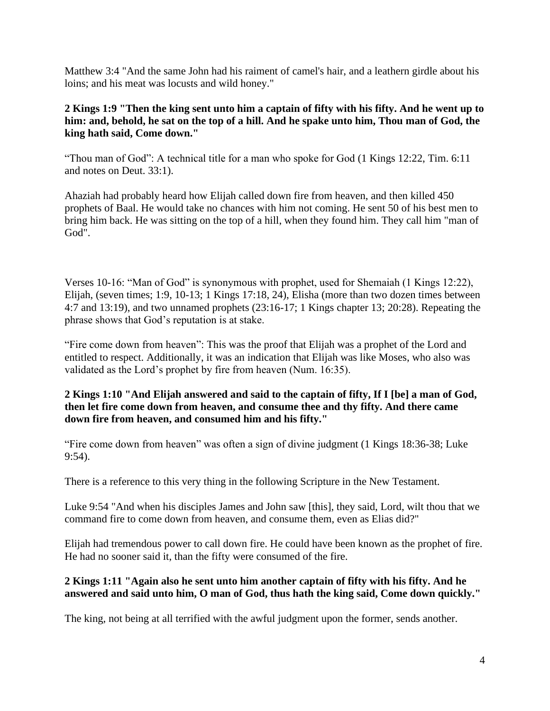Matthew 3:4 "And the same John had his raiment of camel's hair, and a leathern girdle about his loins; and his meat was locusts and wild honey."

## **2 Kings 1:9 "Then the king sent unto him a captain of fifty with his fifty. And he went up to him: and, behold, he sat on the top of a hill. And he spake unto him, Thou man of God, the king hath said, Come down."**

"Thou man of God": A technical title for a man who spoke for God (1 Kings 12:22, Tim. 6:11 and notes on Deut. 33:1).

Ahaziah had probably heard how Elijah called down fire from heaven, and then killed 450 prophets of Baal. He would take no chances with him not coming. He sent 50 of his best men to bring him back. He was sitting on the top of a hill, when they found him. They call him "man of God".

Verses 10-16: "Man of God" is synonymous with prophet, used for Shemaiah (1 Kings 12:22), Elijah, (seven times; 1:9, 10-13; 1 Kings 17:18, 24), Elisha (more than two dozen times between 4:7 and 13:19), and two unnamed prophets (23:16-17; 1 Kings chapter 13; 20:28). Repeating the phrase shows that God's reputation is at stake.

"Fire come down from heaven": This was the proof that Elijah was a prophet of the Lord and entitled to respect. Additionally, it was an indication that Elijah was like Moses, who also was validated as the Lord's prophet by fire from heaven (Num. 16:35).

#### **2 Kings 1:10 "And Elijah answered and said to the captain of fifty, If I [be] a man of God, then let fire come down from heaven, and consume thee and thy fifty. And there came down fire from heaven, and consumed him and his fifty."**

"Fire come down from heaven" was often a sign of divine judgment (1 Kings 18:36-38; Luke 9:54).

There is a reference to this very thing in the following Scripture in the New Testament.

Luke 9:54 "And when his disciples James and John saw [this], they said, Lord, wilt thou that we command fire to come down from heaven, and consume them, even as Elias did?"

Elijah had tremendous power to call down fire. He could have been known as the prophet of fire. He had no sooner said it, than the fifty were consumed of the fire.

#### **2 Kings 1:11 "Again also he sent unto him another captain of fifty with his fifty. And he answered and said unto him, O man of God, thus hath the king said, Come down quickly."**

The king, not being at all terrified with the awful judgment upon the former, sends another.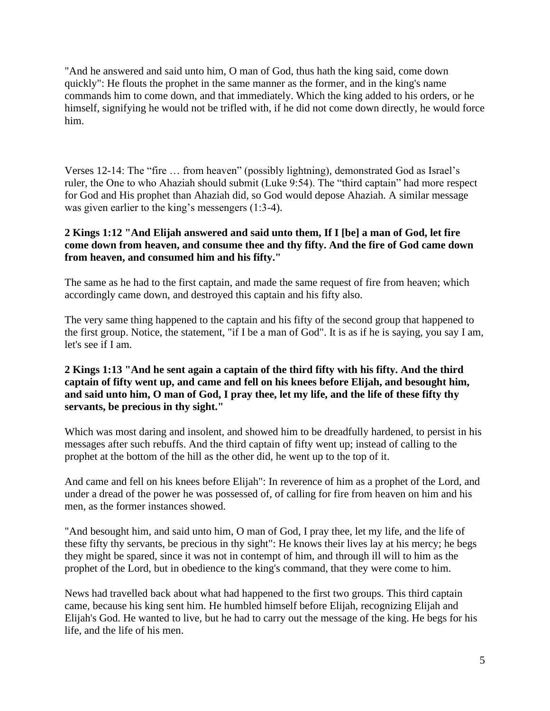"And he answered and said unto him, O man of God, thus hath the king said, come down quickly": He flouts the prophet in the same manner as the former, and in the king's name commands him to come down, and that immediately. Which the king added to his orders, or he himself, signifying he would not be trifled with, if he did not come down directly, he would force him.

Verses 12-14: The "fire … from heaven" (possibly lightning), demonstrated God as Israel's ruler, the One to who Ahaziah should submit (Luke 9:54). The "third captain" had more respect for God and His prophet than Ahaziah did, so God would depose Ahaziah. A similar message was given earlier to the king's messengers (1:3-4).

#### **2 Kings 1:12 "And Elijah answered and said unto them, If I [be] a man of God, let fire come down from heaven, and consume thee and thy fifty. And the fire of God came down from heaven, and consumed him and his fifty."**

The same as he had to the first captain, and made the same request of fire from heaven; which accordingly came down, and destroyed this captain and his fifty also.

The very same thing happened to the captain and his fifty of the second group that happened to the first group. Notice, the statement, "if I be a man of God". It is as if he is saying, you say I am, let's see if I am.

### **2 Kings 1:13 "And he sent again a captain of the third fifty with his fifty. And the third captain of fifty went up, and came and fell on his knees before Elijah, and besought him, and said unto him, O man of God, I pray thee, let my life, and the life of these fifty thy servants, be precious in thy sight."**

Which was most daring and insolent, and showed him to be dreadfully hardened, to persist in his messages after such rebuffs. And the third captain of fifty went up; instead of calling to the prophet at the bottom of the hill as the other did, he went up to the top of it.

And came and fell on his knees before Elijah": In reverence of him as a prophet of the Lord, and under a dread of the power he was possessed of, of calling for fire from heaven on him and his men, as the former instances showed.

"And besought him, and said unto him, O man of God, I pray thee, let my life, and the life of these fifty thy servants, be precious in thy sight": He knows their lives lay at his mercy; he begs they might be spared, since it was not in contempt of him, and through ill will to him as the prophet of the Lord, but in obedience to the king's command, that they were come to him.

News had travelled back about what had happened to the first two groups. This third captain came, because his king sent him. He humbled himself before Elijah, recognizing Elijah and Elijah's God. He wanted to live, but he had to carry out the message of the king. He begs for his life, and the life of his men.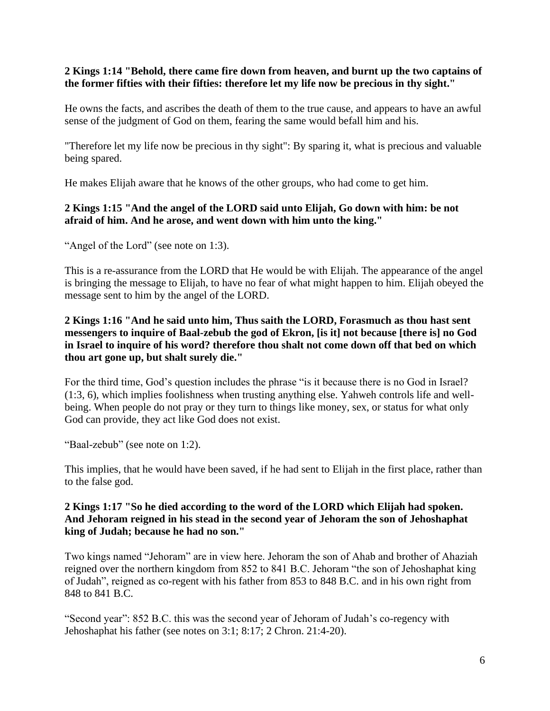#### **2 Kings 1:14 "Behold, there came fire down from heaven, and burnt up the two captains of the former fifties with their fifties: therefore let my life now be precious in thy sight."**

He owns the facts, and ascribes the death of them to the true cause, and appears to have an awful sense of the judgment of God on them, fearing the same would befall him and his.

"Therefore let my life now be precious in thy sight": By sparing it, what is precious and valuable being spared.

He makes Elijah aware that he knows of the other groups, who had come to get him.

## **2 Kings 1:15 "And the angel of the LORD said unto Elijah, Go down with him: be not afraid of him. And he arose, and went down with him unto the king."**

"Angel of the Lord" (see note on 1:3).

This is a re-assurance from the LORD that He would be with Elijah. The appearance of the angel is bringing the message to Elijah, to have no fear of what might happen to him. Elijah obeyed the message sent to him by the angel of the LORD.

### **2 Kings 1:16 "And he said unto him, Thus saith the LORD, Forasmuch as thou hast sent messengers to inquire of Baal-zebub the god of Ekron, [is it] not because [there is] no God in Israel to inquire of his word? therefore thou shalt not come down off that bed on which thou art gone up, but shalt surely die."**

For the third time, God's question includes the phrase "is it because there is no God in Israel? (1:3, 6), which implies foolishness when trusting anything else. Yahweh controls life and wellbeing. When people do not pray or they turn to things like money, sex, or status for what only God can provide, they act like God does not exist.

"Baal-zebub" (see note on 1:2).

This implies, that he would have been saved, if he had sent to Elijah in the first place, rather than to the false god.

#### **2 Kings 1:17 "So he died according to the word of the LORD which Elijah had spoken. And Jehoram reigned in his stead in the second year of Jehoram the son of Jehoshaphat king of Judah; because he had no son."**

Two kings named "Jehoram" are in view here. Jehoram the son of Ahab and brother of Ahaziah reigned over the northern kingdom from 852 to 841 B.C. Jehoram "the son of Jehoshaphat king of Judah", reigned as co-regent with his father from 853 to 848 B.C. and in his own right from 848 to 841 B.C.

"Second year": 852 B.C. this was the second year of Jehoram of Judah's co-regency with Jehoshaphat his father (see notes on 3:1; 8:17; 2 Chron. 21:4-20).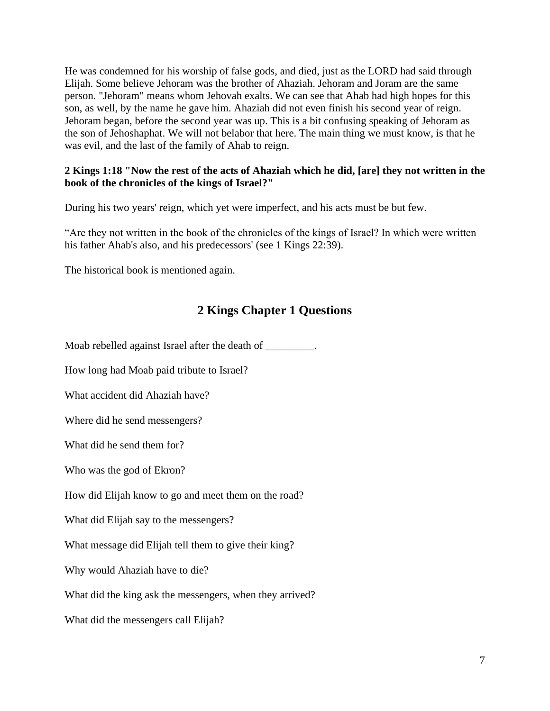He was condemned for his worship of false gods, and died, just as the LORD had said through Elijah. Some believe Jehoram was the brother of Ahaziah. Jehoram and Joram are the same person. "Jehoram" means whom Jehovah exalts. We can see that Ahab had high hopes for this son, as well, by the name he gave him. Ahaziah did not even finish his second year of reign. Jehoram began, before the second year was up. This is a bit confusing speaking of Jehoram as the son of Jehoshaphat. We will not belabor that here. The main thing we must know, is that he was evil, and the last of the family of Ahab to reign.

#### **2 Kings 1:18 "Now the rest of the acts of Ahaziah which he did, [are] they not written in the book of the chronicles of the kings of Israel?"**

During his two years' reign, which yet were imperfect, and his acts must be but few.

"Are they not written in the book of the chronicles of the kings of Israel? In which were written his father Ahab's also, and his predecessors' (see 1 Kings 22:39).

The historical book is mentioned again.

## **2 Kings Chapter 1 Questions**

Moab rebelled against Israel after the death of \_\_\_\_\_\_\_\_\_.

How long had Moab paid tribute to Israel?

What accident did Ahaziah have?

Where did he send messengers?

What did he send them for?

Who was the god of Ekron?

How did Elijah know to go and meet them on the road?

What did Elijah say to the messengers?

What message did Elijah tell them to give their king?

Why would Ahaziah have to die?

What did the king ask the messengers, when they arrived?

What did the messengers call Elijah?